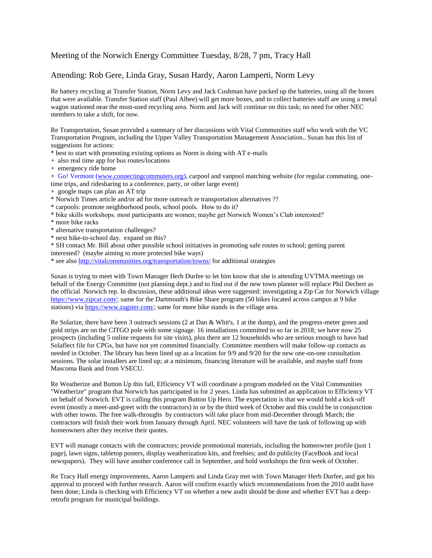## Meeting of the Norwich Energy Committee Tuesday, 8/28, 7 pm, Tracy Hall

## Attending: Rob Gere, Linda Gray, Susan Hardy, Aaron Lamperti, Norm Levy

Re battery recycling at Transfer Station, Norm Levy and Jack Cushman have packed up the batteries, using all the boxes that were available. Transfer Station staff (Paul Albee) will get more boxes, and to collect batteries staff are using a metal wagon stationed near the most-used recycling area. Norm and Jack will continue on this task; no need for other NEC members to take a shift, for now.

Re Transportation, Susan provided a summary of her discussions with Vital Communities staff who work with the VC Transportation Program, including the Upper Valley Transportation Management Association.. Susan has this list of suggestions for actions:

- \* best to start with promoting existing options as Norm is doing with AT e-mails
- + also real time app for bus routes/locations
- + emergency ride home

+ Go! Vermont [\(www.connectingcommuters.org\)](http://www.connectingcommuters.org/), carpool and vanpool matching website (for regular commuting, onetime trips, and ridesharing to a conference, party, or other large event)

- + google maps can plan an AT trip
- \* Norwich Times article and/or ad for more outreach re transportation alternatives ??
- \* carpools: promote neighborhood pools, school pools. How to do it?
- \* bike skills workshops. most participants are women; maybe get Norwich Women's Club interested?
- \* more bike racks
- \* alternative transportation challenges?
- \* next bike-to-school day. expand on this?

\* SH contact Mr. Bill about other possible school initiatives in promoting safe routes to school; getting parent interested? (maybe aiming to more protected bike ways)

\* see also <http://vitalcommunities.org/transportation/towns/> for additional strategies

Susan is trying to meet with Town Manager Herb Durfee to let him know that she is attending UVTMA meetings on behalf of the Energy Committee (not planning dept.) and to find out if the new town planner will replace Phil Dechert as the official Norwich rep. In discussion, these additional ideas were suggested: investigating a Zip Car for Norwich village [https://www.zipcar.com/;](https://www.zipcar.com/) same for the Dartmouth's Bike Share program (50 bikes located across campus at 9 bike stations) vi[a https://www.zagster.com/;](https://www.zagster.com/) same for more bike stands in the village area.

Re Solarize, there have been 3 outreach sessions (2 at Dan & Whit's, 1 at the dump), and the progress-meter green and gold strips are on the CITGO pole with some signage. 16 installations committed to so far in 2018; we have now 25 prospects (including 5 online requests for site visits), plus there are 12 households who are serious enough to have had Solaflect file for CPGs, but have not yet committed financially. Committee members will make follow-up contacts as needed in October. The library has been lined up as a location for 9/9 and 9/20 for the new one-on-one consultation sessions. The solar installers are lined up; at a minimum, financing literature will be available, and maybe staff from Mascoma Bank and from VSECU.

Re Weatherize and Button Up this fall, Efficiency VT will coordinate a program modeled on the Vital Communities "Weatherize" program that Norwich has participated in for 2 years. Linda has submitted an application to Efficiency VT on behalf of Norwich. EVT is calling this program Button Up Hero. The expectation is that we would hold a kick-off event (mostly a meet-and-greet with the contractors) in or by the third week of October and this could be in conjunction with other towns. The free walk-throughs by contractors will take place from mid-December through March; the contractors will finish their work from January through April. NEC volunteers will have the task of following up with homeowners after they receive their quotes.

EVT will manage contacts with the contractors; provide promotional materials, including the homeowner profile (just 1 page), lawn signs, tabletop posters, display weatherization kits, and freebies; and do publicity (FaceBook and local newspapers). They will have another conference call in September, and hold workshops the first week of October.

Re Tracy Hall energy improvements, Aaron Lamperti and Linda Gray met with Town Manager Herb Durfee, and got his approval to proceed with further research. Aaron will confirm exactly which recommendations from the 2010 audit have been done; Linda is checking with Efficiency VT on whether a new audit should be done and whether EVT has a deepretrofit program for municipal buildings.